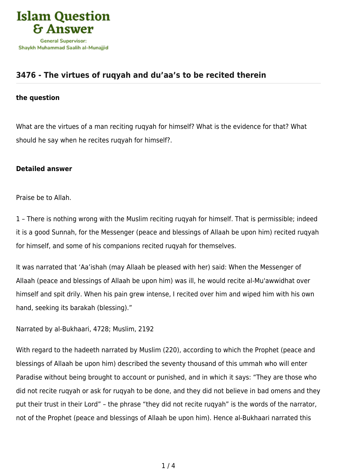

## **[3476 - The virtues of ruqyah and du'aa's to be recited therein](https://islamqa.com/en/answers/3476/the-virtues-of-ruqyah-and-duaas-to-be-recited-therein)**

## **the question**

What are the virtues of a man reciting ruqyah for himself? What is the evidence for that? What should he say when he recites ruqyah for himself?.

## **Detailed answer**

Praise be to Allah.

1 – There is nothing wrong with the Muslim reciting ruqyah for himself. That is permissible; indeed it is a good Sunnah, for the Messenger (peace and blessings of Allaah be upon him) recited ruqyah for himself, and some of his companions recited ruqyah for themselves.

It was narrated that 'Aa'ishah (may Allaah be pleased with her) said: When the Messenger of Allaah (peace and blessings of Allaah be upon him) was ill, he would recite al-Mu'awwidhat over himself and spit drily. When his pain grew intense, I recited over him and wiped him with his own hand, seeking its barakah (blessing)."

Narrated by al-Bukhaari, 4728; Muslim, 2192

With regard to the hadeeth narrated by Muslim (220), according to which the Prophet (peace and blessings of Allaah be upon him) described the seventy thousand of this ummah who will enter Paradise without being brought to account or punished, and in which it says: "They are those who did not recite ruqyah or ask for ruqyah to be done, and they did not believe in bad omens and they put their trust in their Lord" – the phrase "they did not recite ruqyah" is the words of the narrator, not of the Prophet (peace and blessings of Allaah be upon him). Hence al-Bukhaari narrated this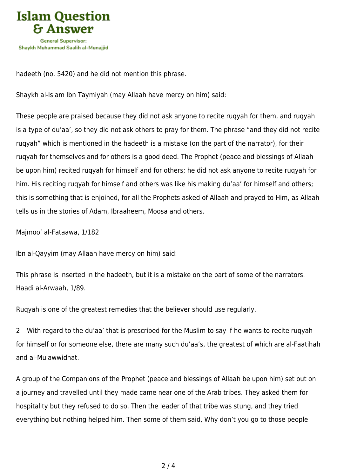

hadeeth (no. 5420) and he did not mention this phrase.

Shaykh al-Islam Ibn Taymiyah (may Allaah have mercy on him) said:

These people are praised because they did not ask anyone to recite ruqyah for them, and ruqyah is a type of du'aa', so they did not ask others to pray for them. The phrase "and they did not recite ruqyah" which is mentioned in the hadeeth is a mistake (on the part of the narrator), for their ruqyah for themselves and for others is a good deed. The Prophet (peace and blessings of Allaah be upon him) recited ruqyah for himself and for others; he did not ask anyone to recite ruqyah for him. His reciting rugyah for himself and others was like his making du'aa' for himself and others; this is something that is enjoined, for all the Prophets asked of Allaah and prayed to Him, as Allaah tells us in the stories of Adam, Ibraaheem, Moosa and others.

Majmoo' al-Fataawa, 1/182

Ibn al-Qayyim (may Allaah have mercy on him) said:

This phrase is inserted in the hadeeth, but it is a mistake on the part of some of the narrators. Haadi al-Arwaah, 1/89.

Ruqyah is one of the greatest remedies that the believer should use regularly.

2 – With regard to the du'aa' that is prescribed for the Muslim to say if he wants to recite ruqyah for himself or for someone else, there are many such du'aa's, the greatest of which are al-Faatihah and al-Mu'awwidhat.

A group of the Companions of the Prophet (peace and blessings of Allaah be upon him) set out on a journey and travelled until they made came near one of the Arab tribes. They asked them for hospitality but they refused to do so. Then the leader of that tribe was stung, and they tried everything but nothing helped him. Then some of them said, Why don't you go to those people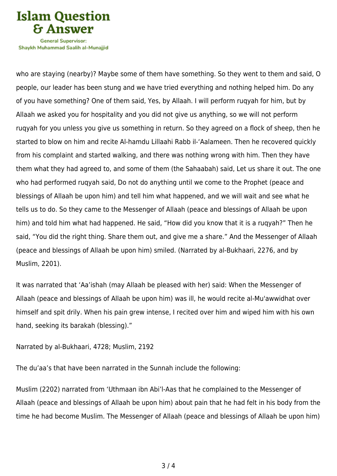

Shavkh Muhammad Saalih al-Munaiiid

who are staying (nearby)? Maybe some of them have something. So they went to them and said, O people, our leader has been stung and we have tried everything and nothing helped him. Do any of you have something? One of them said, Yes, by Allaah. I will perform ruqyah for him, but by Allaah we asked you for hospitality and you did not give us anything, so we will not perform ruqyah for you unless you give us something in return. So they agreed on a flock of sheep, then he started to blow on him and recite Al-hamdu Lillaahi Rabb il-'Aalameen. Then he recovered quickly from his complaint and started walking, and there was nothing wrong with him. Then they have them what they had agreed to, and some of them (the Sahaabah) said, Let us share it out. The one who had performed ruqyah said, Do not do anything until we come to the Prophet (peace and blessings of Allaah be upon him) and tell him what happened, and we will wait and see what he tells us to do. So they came to the Messenger of Allaah (peace and blessings of Allaah be upon him) and told him what had happened. He said, "How did you know that it is a ruqyah?" Then he said, "You did the right thing. Share them out, and give me a share." And the Messenger of Allaah (peace and blessings of Allaah be upon him) smiled. (Narrated by al-Bukhaari, 2276, and by Muslim, 2201).

It was narrated that 'Aa'ishah (may Allaah be pleased with her) said: When the Messenger of Allaah (peace and blessings of Allaah be upon him) was ill, he would recite al-Mu'awwidhat over himself and spit drily. When his pain grew intense, I recited over him and wiped him with his own hand, seeking its barakah (blessing)."

Narrated by al-Bukhaari, 4728; Muslim, 2192

The du'aa's that have been narrated in the Sunnah include the following:

Muslim (2202) narrated from 'Uthmaan ibn Abi'l-Aas that he complained to the Messenger of Allaah (peace and blessings of Allaah be upon him) about pain that he had felt in his body from the time he had become Muslim. The Messenger of Allaah (peace and blessings of Allaah be upon him)